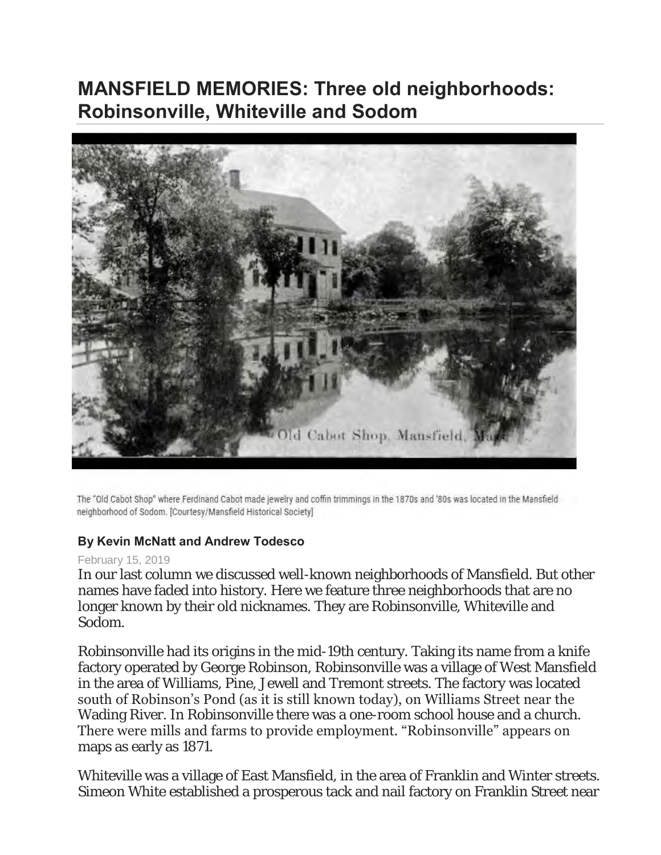## **MANSFIELD MEMORIES: Three old neighborhoods: Robinsonville, Whiteville and Sodom**



The "Old Cabot Shop" where Ferdinand Cabot made jewelry and coffin trimmings in the 1870s and '80s was located in the Mansfield neighborhood of Sodom. [Courtesy/Mansfield Historical Society]

## **By Kevin McNatt and Andrew Todesco**

## February 15, 2019

In our last column we discussed well-known neighborhoods of Mansfield. But other names have faded into history. Here we feature three neighborhoods that are no longer known by their old nicknames. They are Robinsonville, Whiteville and Sodom.

Robinsonville had its origins in the mid-19th century. Taking its name from a knife factory operated by George Robinson, Robinsonville was a village of West Mansfield in the area of Williams, Pine, Jewell and Tremont streets. The factory was located south of Robinson's Pond (as it is still known today), on Williams Street near the Wading River. In Robinsonville there was a one-room school house and a church. There were mills and farms to provide employment. "Robinsonville" appears on maps as early as 1871.

Whiteville was a village of East Mansfield, in the area of Franklin and Winter streets. Simeon White established a prosperous tack and nail factory on Franklin Street near